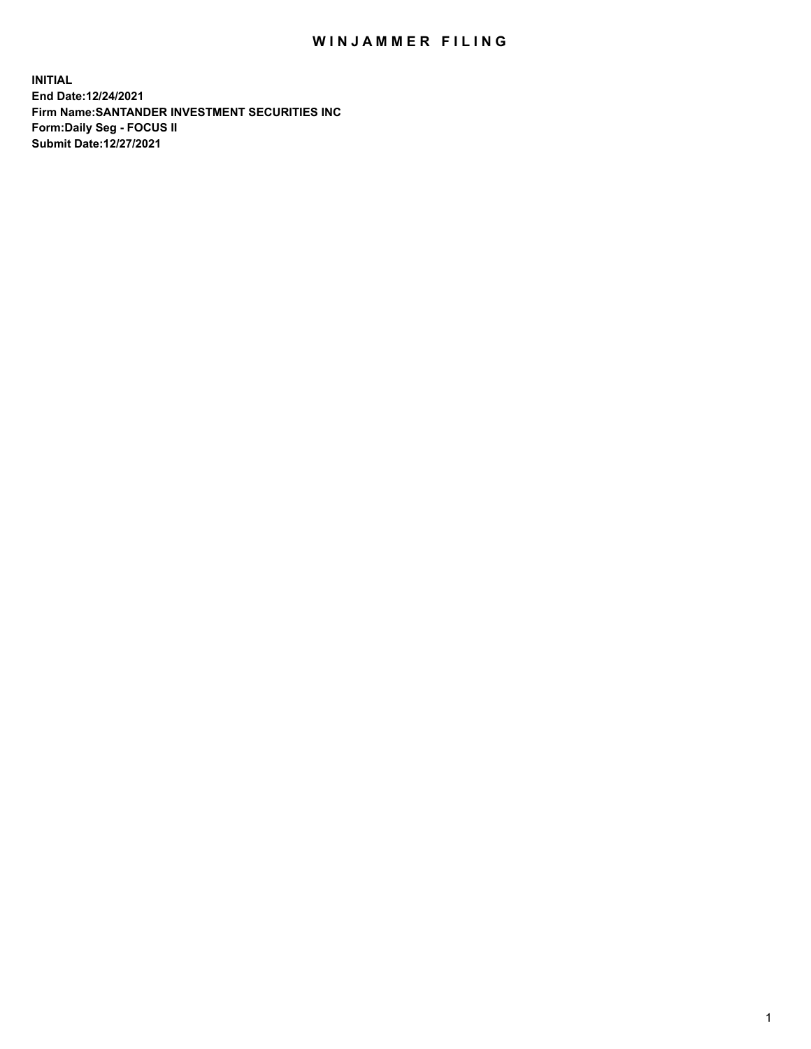## WIN JAMMER FILING

**INITIAL End Date:12/24/2021 Firm Name:SANTANDER INVESTMENT SECURITIES INC Form:Daily Seg - FOCUS II Submit Date:12/27/2021**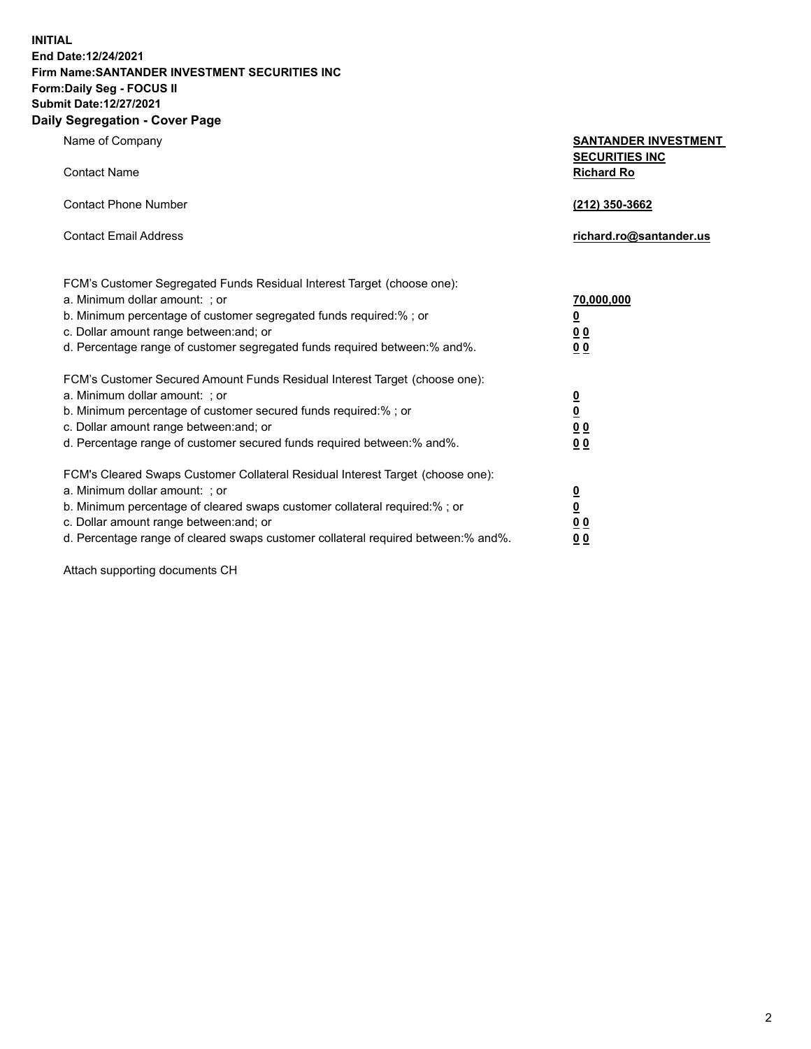**INITIAL End Date:12/24/2021 Firm Name:SANTANDER INVESTMENT SECURITIES INC Form:Daily Seg - FOCUS II Submit Date:12/27/2021 Daily Segregation - Cover Page**

| $\gamma$ ocgi cganon - oo $\gamma$ or i ago                                                                         |                                                      |
|---------------------------------------------------------------------------------------------------------------------|------------------------------------------------------|
| Name of Company                                                                                                     | <b>SANTANDER INVESTMENT</b><br><b>SECURITIES INC</b> |
| <b>Contact Name</b>                                                                                                 | <b>Richard Ro</b>                                    |
| <b>Contact Phone Number</b>                                                                                         | (212) 350-3662                                       |
| <b>Contact Email Address</b>                                                                                        | richard.ro@santander.us                              |
| FCM's Customer Segregated Funds Residual Interest Target (choose one):                                              |                                                      |
| a. Minimum dollar amount: ; or                                                                                      | 70,000,000                                           |
| b. Minimum percentage of customer segregated funds required:%; or                                                   | <u>0</u>                                             |
| c. Dollar amount range between: and; or                                                                             | 0 <sub>0</sub>                                       |
| d. Percentage range of customer segregated funds required between: % and %.                                         | 0 <sub>0</sub>                                       |
| FCM's Customer Secured Amount Funds Residual Interest Target (choose one):                                          |                                                      |
| a. Minimum dollar amount: ; or                                                                                      | $\frac{0}{0}$                                        |
| b. Minimum percentage of customer secured funds required:%; or                                                      |                                                      |
| c. Dollar amount range between: and; or<br>d. Percentage range of customer secured funds required between: % and %. | 0 <sub>0</sub><br>0 <sub>0</sub>                     |
|                                                                                                                     |                                                      |
| FCM's Cleared Swaps Customer Collateral Residual Interest Target (choose one):                                      |                                                      |
| a. Minimum dollar amount: ; or                                                                                      | $\overline{\mathbf{0}}$                              |
| b. Minimum percentage of cleared swaps customer collateral required:%; or                                           | $\overline{\mathbf{0}}$                              |
| c. Dollar amount range between: and; or                                                                             | 00                                                   |
| d. Percentage range of cleared swaps customer collateral required between:% and%.                                   | 00                                                   |

Attach supporting documents CH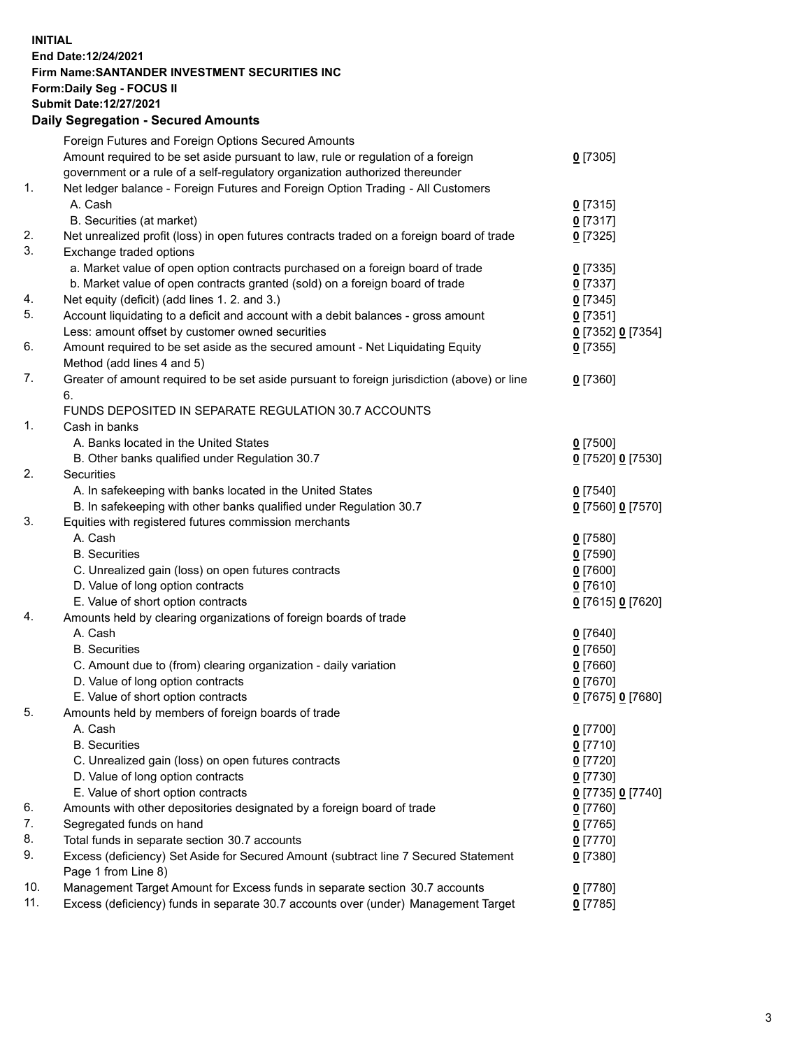## **INITIAL End Date:12/24/2021 Firm Name:SANTANDER INVESTMENT SECURITIES INC Form:Daily Seg - FOCUS II Submit Date:12/27/2021 Daily Segregation - Secured Amounts**

|     | Foreign Futures and Foreign Options Secured Amounts                                         |                   |
|-----|---------------------------------------------------------------------------------------------|-------------------|
|     | Amount required to be set aside pursuant to law, rule or regulation of a foreign            | $0$ [7305]        |
|     | government or a rule of a self-regulatory organization authorized thereunder                |                   |
| 1.  | Net ledger balance - Foreign Futures and Foreign Option Trading - All Customers             |                   |
|     | A. Cash                                                                                     | 0[7315]           |
|     | B. Securities (at market)                                                                   | $0$ [7317]        |
| 2.  | Net unrealized profit (loss) in open futures contracts traded on a foreign board of trade   | $0$ [7325]        |
| 3.  | Exchange traded options                                                                     |                   |
|     | a. Market value of open option contracts purchased on a foreign board of trade              | $0$ [7335]        |
|     | b. Market value of open contracts granted (sold) on a foreign board of trade                | $0$ [7337]        |
| 4.  | Net equity (deficit) (add lines 1. 2. and 3.)                                               | $0$ [7345]        |
| 5.  | Account liquidating to a deficit and account with a debit balances - gross amount           | $0$ [7351]        |
|     | Less: amount offset by customer owned securities                                            | 0 [7352] 0 [7354] |
| 6.  | Amount required to be set aside as the secured amount - Net Liquidating Equity              | $0$ [7355]        |
|     | Method (add lines 4 and 5)                                                                  |                   |
| 7.  | Greater of amount required to be set aside pursuant to foreign jurisdiction (above) or line | $0$ [7360]        |
|     | 6.                                                                                          |                   |
|     | FUNDS DEPOSITED IN SEPARATE REGULATION 30.7 ACCOUNTS                                        |                   |
| 1.  | Cash in banks                                                                               |                   |
|     | A. Banks located in the United States                                                       | $0$ [7500]        |
|     | B. Other banks qualified under Regulation 30.7                                              | 0 [7520] 0 [7530] |
| 2.  | <b>Securities</b>                                                                           |                   |
|     | A. In safekeeping with banks located in the United States                                   | $0$ [7540]        |
|     | B. In safekeeping with other banks qualified under Regulation 30.7                          | 0 [7560] 0 [7570] |
| 3.  | Equities with registered futures commission merchants                                       |                   |
|     | A. Cash                                                                                     | $0$ [7580]        |
|     | <b>B.</b> Securities                                                                        | $0$ [7590]        |
|     | C. Unrealized gain (loss) on open futures contracts                                         | $0$ [7600]        |
|     | D. Value of long option contracts                                                           | $0$ [7610]        |
|     | E. Value of short option contracts                                                          | 0 [7615] 0 [7620] |
| 4.  | Amounts held by clearing organizations of foreign boards of trade                           |                   |
|     | A. Cash                                                                                     | $0$ [7640]        |
|     | <b>B.</b> Securities                                                                        | $0$ [7650]        |
|     | C. Amount due to (from) clearing organization - daily variation                             | $0$ [7660]        |
|     | D. Value of long option contracts                                                           | $0$ [7670]        |
|     | E. Value of short option contracts                                                          | 0 [7675] 0 [7680] |
| 5.  | Amounts held by members of foreign boards of trade                                          |                   |
|     | A. Cash                                                                                     | $0$ [7700]        |
|     | <b>B.</b> Securities                                                                        | $0$ [7710]        |
|     | C. Unrealized gain (loss) on open futures contracts                                         | $0$ [7720]        |
|     | D. Value of long option contracts                                                           | $0$ [7730]        |
|     | E. Value of short option contracts                                                          | 0 [7735] 0 [7740] |
| 6.  | Amounts with other depositories designated by a foreign board of trade                      | $0$ [7760]        |
| 7.  | Segregated funds on hand                                                                    | $0$ [7765]        |
| 8.  | Total funds in separate section 30.7 accounts                                               | $0$ [7770]        |
| 9.  | Excess (deficiency) Set Aside for Secured Amount (subtract line 7 Secured Statement         | $0$ [7380]        |
|     | Page 1 from Line 8)                                                                         |                   |
| 10. | Management Target Amount for Excess funds in separate section 30.7 accounts                 | $0$ [7780]        |
| 11. | Excess (deficiency) funds in separate 30.7 accounts over (under) Management Target          | $0$ [7785]        |
|     |                                                                                             |                   |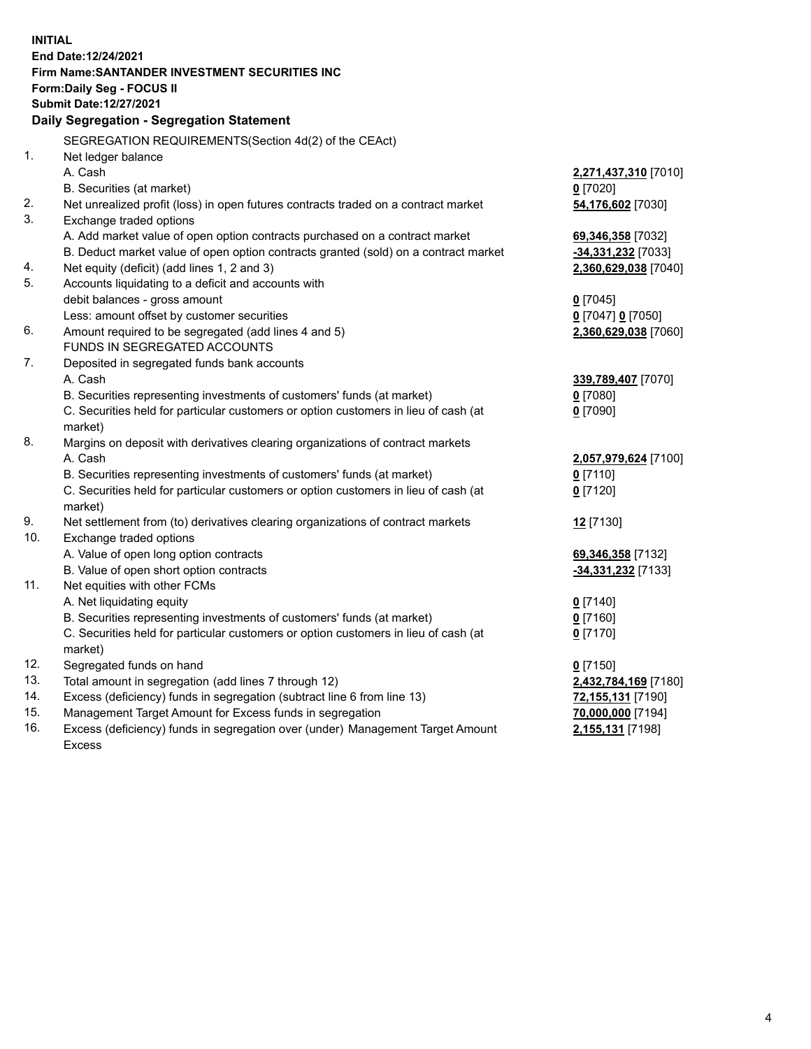| <b>INITIAL</b> |                                                                                     |                      |
|----------------|-------------------------------------------------------------------------------------|----------------------|
|                | End Date:12/24/2021                                                                 |                      |
|                | Firm Name: SANTANDER INVESTMENT SECURITIES INC                                      |                      |
|                | Form: Daily Seg - FOCUS II                                                          |                      |
|                | Submit Date:12/27/2021                                                              |                      |
|                | Daily Segregation - Segregation Statement                                           |                      |
|                | SEGREGATION REQUIREMENTS(Section 4d(2) of the CEAct)                                |                      |
| 1.             | Net ledger balance                                                                  |                      |
|                | A. Cash                                                                             | 2,271,437,310 [7010] |
|                | B. Securities (at market)                                                           | $0$ [7020]           |
| 2.             | Net unrealized profit (loss) in open futures contracts traded on a contract market  | 54,176,602 [7030]    |
| 3.             | Exchange traded options                                                             |                      |
|                | A. Add market value of open option contracts purchased on a contract market         | 69,346,358 [7032]    |
|                | B. Deduct market value of open option contracts granted (sold) on a contract market | -34,331,232 [7033]   |
| 4.             | Net equity (deficit) (add lines 1, 2 and 3)                                         | 2,360,629,038 [7040] |
| 5.             | Accounts liquidating to a deficit and accounts with                                 |                      |
|                | debit balances - gross amount                                                       | $0$ [7045]           |
|                | Less: amount offset by customer securities                                          | 0 [7047] 0 [7050]    |
| 6.             | Amount required to be segregated (add lines 4 and 5)                                | 2,360,629,038 [7060] |
|                | FUNDS IN SEGREGATED ACCOUNTS                                                        |                      |
| 7.             | Deposited in segregated funds bank accounts                                         |                      |
|                | A. Cash                                                                             | 339,789,407 [7070]   |
|                | B. Securities representing investments of customers' funds (at market)              | $0$ [7080]           |
|                | C. Securities held for particular customers or option customers in lieu of cash (at | $0$ [7090]           |
|                | market)                                                                             |                      |
| 8.             | Margins on deposit with derivatives clearing organizations of contract markets      |                      |
|                | A. Cash                                                                             | 2,057,979,624 [7100] |
|                | B. Securities representing investments of customers' funds (at market)              | $0$ [7110]           |
|                | C. Securities held for particular customers or option customers in lieu of cash (at | $0$ [7120]           |
|                | market)                                                                             |                      |
| 9.             | Net settlement from (to) derivatives clearing organizations of contract markets     | 12 [7130]            |
| 10.            | Exchange traded options                                                             |                      |
|                | A. Value of open long option contracts                                              | 69,346,358 [7132]    |
|                | B. Value of open short option contracts                                             | -34,331,232 [7133]   |
| 11.            | Net equities with other FCMs                                                        |                      |
|                | A. Net liquidating equity                                                           | $0$ [7140]           |
|                | B. Securities representing investments of customers' funds (at market)              | $0$ [7160]           |
|                | C. Securities held for particular customers or option customers in lieu of cash (at | $0$ [7170]           |
|                | market)                                                                             |                      |
| 12.            | Segregated funds on hand                                                            | $0$ [7150]           |
| 13.            | Total amount in segregation (add lines 7 through 12)                                | 2,432,784,169 [7180] |
| 14.            | Excess (deficiency) funds in segregation (subtract line 6 from line 13)             | 72,155,131 [7190]    |
| 15.            | Management Target Amount for Excess funds in segregation                            | 70,000,000 [7194]    |
| 16.            | Excess (deficiency) funds in segregation over (under) Management Target Amount      | 2,155,131 [7198]     |
|                | <b>Excess</b>                                                                       |                      |